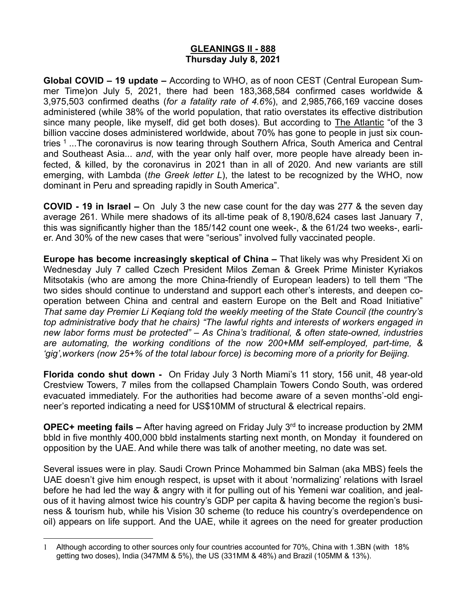# **GLEANINGS II - 888 Thursday July 8, 2021**

**Global COVID – 19 update –** According to WHO, as of noon CEST (Central European Summer Time)on July 5, 2021, there had been 183,368,584 confirmed cases worldwide & 3,975,503 confirmed deaths (*for a fatality rate of 4.6%*), and 2,985,766,169 vaccine doses administered (while 38% of the world population, that ratio overstates its effective distribution since many people, like myself, did get both doses). But according to The Atlantic "of the 3 billion vaccine doses administered worldwide, about 70% has gone to people in just six countries <sup>1</sup> ...The coronavirus is now tearing through Southern Africa, South America and Central and Southeast Asia... a*nd*, with the year only half over, more people have already been infected, & killed, by the coronavirus in 2021 than in all of 2020. And new variants are still emerging, with Lambda (*the Greek letter L*), the latest to be recognized by the WHO, now dominant in Peru and spreading rapidly in South America".

**COVID - 19 in Israel –** On July 3 the new case count for the day was 277 & the seven day average 261. While mere shadows of its all-time peak of 8,190/8,624 cases last January 7, this was significantly higher than the 185/142 count one week-, & the 61/24 two weeks-, earlier. And 30% of the new cases that were "serious" involved fully vaccinated people.

**Europe has become increasingly skeptical of China –** That likely was why President Xi on Wednesday July 7 called Czech President Milos Zeman & Greek Prime Minister Kyriakos Mitsotakis (who are among the more China-friendly of European leaders) to tell them "The two sides should continue to understand and support each other's interests, and deepen cooperation between China and central and eastern Europe on the Belt and Road Initiative" *That same day Premier Li Keqiang told the weekly meeting of the State Council (the country's top administrative body that he chairs) "The lawful rights and interests of workers engaged in new labor forms must be protected" – As China's traditional, & often state-owned, industries are automating, the working conditions of the now 200+MM self-employed, part-time, & 'gig',workers (now 25+% of the total labour force) is becoming more of a priority for Beijing.*

**Florida condo shut down -** On Friday July 3 North Miami's 11 story, 156 unit, 48 year-old Crestview Towers, 7 miles from the collapsed Champlain Towers Condo South, was ordered evacuated immediately. For the authorities had become aware of a seven months'-old engineer's reported indicating a need for US\$10MM of structural & electrical repairs.

**OPEC+ meeting fails –** After having agreed on Friday July 3rd to increase production by 2MM bbld in five monthly 400,000 bbld instalments starting next month, on Monday it foundered on opposition by the UAE. And while there was talk of another meeting, no date was set.

Several issues were in play. Saudi Crown Prince Mohammed bin Salman (aka MBS) feels the UAE doesn't give him enough respect, is upset with it about 'normalizing' relations with Israel before he had led the way & angry with it for pulling out of his Yemeni war coalition, and jealous of it having almost twice his country's GDP per capita & having become the region's business & tourism hub, while his Vision 30 scheme (to reduce his country's overdependence on oil) appears on life support. And the UAE, while it agrees on the need for greater production

<sup>1</sup> Although according to other sources only four countries accounted for 70%, China with 1.3BN (with 18% getting two doses), India (347MM & 5%), the US (331MM & 48%) and Brazil (105MM & 13%).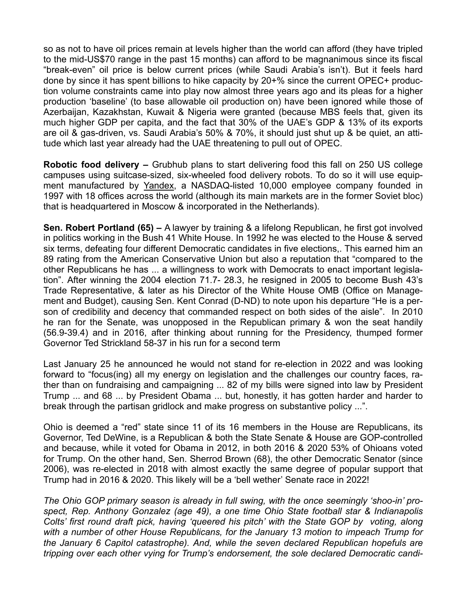so as not to have oil prices remain at levels higher than the world can afford (they have tripled to the mid-US\$70 range in the past 15 months) can afford to be magnanimous since its fiscal "break-even" oil price is below current prices (while Saudi Arabia's isn't). But it feels hard done by since it has spent billions to hike capacity by 20+% since the current OPEC+ production volume constraints came into play now almost three years ago and its pleas for a higher production 'baseline' (to base allowable oil production on) have been ignored while those of Azerbaijan, Kazakhstan, Kuwait & Nigeria were granted (because MBS feels that, given its much higher GDP per capita, and the fact that 30% of the UAE's GDP & 13% of its exports are oil & gas-driven, vs. Saudi Arabia's 50% & 70%, it should just shut up & be quiet, an attitude which last year already had the UAE threatening to pull out of OPEC.

**Robotic food delivery –** Grubhub plans to start delivering food this fall on 250 US college campuses using suitcase-sized, six-wheeled food delivery robots. To do so it will use equipment manufactured by Yandex, a NASDAQ-listed 10,000 employee company founded in 1997 with 18 offices across the world (although its main markets are in the former Soviet bloc) that is headquartered in Moscow & incorporated in the Netherlands).

**Sen. Robert Portland (65) –** A lawyer by training & a lifelong Republican, he first got involved in politics working in the Bush 41 White House. In 1992 he was elected to the House & served six terms, defeating four different Democratic candidates in five elections,. This earned him an 89 rating from the American Conservative Union but also a reputation that "compared to the other Republicans he has ... a willingness to work with Democrats to enact important legislation". After winning the 2004 election 71.7- 28.3, he resigned in 2005 to become Bush 43's Trade Representative, & later as his Director of the White House OMB (Office on Management and Budget), causing Sen. Kent Conrad (D-ND) to note upon his departure "He is a person of credibility and decency that commanded respect on both sides of the aisle". In 2010 he ran for the Senate, was unopposed in the Republican primary & won the seat handily (56.9-39.4) and in 2016, after thinking about running for the Presidency, thumped former Governor Ted Strickland 58-37 in his run for a second term

Last January 25 he announced he would not stand for re-election in 2022 and was looking forward to "focus(ing) all my energy on legislation and the challenges our country faces, rather than on fundraising and campaigning ... 82 of my bills were signed into law by President Trump ... and 68 ... by President Obama ... but, honestly, it has gotten harder and harder to break through the partisan gridlock and make progress on substantive policy ...".

Ohio is deemed a "red" state since 11 of its 16 members in the House are Republicans, its Governor, Ted DeWine, is a Republican & both the State Senate & House are GOP-controlled and because, while it voted for Obama in 2012, in both 2016 & 2020 53% of Ohioans voted for Trump. On the other hand, Sen. Sherrod Brown (68), the other Democratic Senator (since 2006), was re-elected in 2018 with almost exactly the same degree of popular support that Trump had in 2016 & 2020. This likely will be a 'bell wether' Senate race in 2022!

*The Ohio GOP primary season is already in full swing, with the once seemingly 'shoo-in' prospect, Rep. Anthony Gonzalez (age 49), a one time Ohio State football star & Indianapolis Colts' first round draft pick, having 'queered his pitch' with the State GOP by voting, along with a number of other House Republicans, for the January 13 motion to impeach Trump for the January 6 Capitol catastrophe). And, while the seven declared Republican hopefuls are tripping over each other vying for Trump's endorsement, the sole declared Democratic candi-*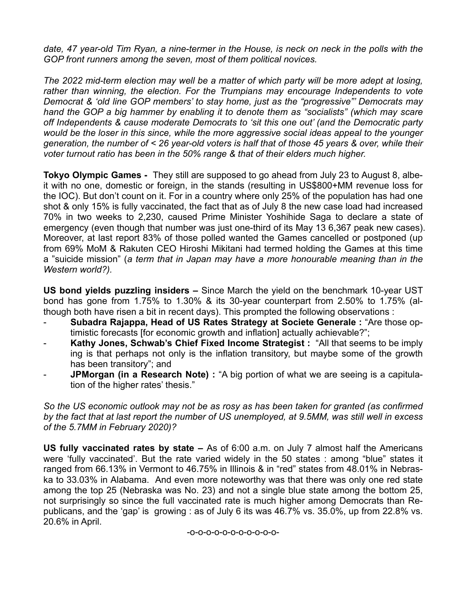date, 47 year-old Tim Ryan, a nine-termer in the House, is neck on neck in the polls with the *GOP front runners among the seven, most of them political novices.*

*The 2022 mid-term election may well be a matter of which party will be more adept at losing, rather than winning, the election. For the Trumpians may encourage Independents to vote Democrat & 'old line GOP members' to stay home, just as the "progressive"' Democrats may hand the GOP a big hammer by enabling it to denote them as "socialists" (which may scare off Independents & cause moderate Democrats to 'sit this one out' (and the Democratic party would be the loser in this since, while the more aggressive social ideas appeal to the younger generation, the number of < 26 year-old voters is half that of those 45 years & over, while their voter turnout ratio has been in the 50% range & that of their elders much higher.* 

**Tokyo Olympic Games -** They still are supposed to go ahead from July 23 to August 8, albeit with no one, domestic or foreign, in the stands (resulting in US\$800+MM revenue loss for the IOC). But don't count on it. For in a country where only 25% of the population has had one shot & only 15% is fully vaccinated, the fact that as of July 8 the new case load had increased 70% in two weeks to 2,230, caused Prime Minister Yoshihide Saga to declare a state of emergency (even though that number was just one-third of its May 13 6,367 peak new cases). Moreover, at last report 83% of those polled wanted the Games cancelled or postponed (up from 69% MoM & Rakuten CEO Hiroshi Mikitani had termed holding the Games at this time a "suicide mission" (*a term that in Japan may have a more honourable meaning than in the Western world?).*

**US bond yields puzzling insiders –** Since March the yield on the benchmark 10-year UST bond has gone from 1.75% to 1.30% & its 30-year counterpart from 2.50% to 1.75% (although both have risen a bit in recent days). This prompted the following observations :

- **Subadra Rajappa, Head of US Rates Strategy at Societe Generale :** "Are those optimistic forecasts [for economic growth and inflation] actually achievable?";
- Kathy Jones, Schwab's Chief Fixed Income Strategist : "All that seems to be imply ing is that perhaps not only is the inflation transitory, but maybe some of the growth has been transitory"; and
- **JPMorgan (in a Research Note) :** "A big portion of what we are seeing is a capitulation of the higher rates' thesis."

*So the US economic outlook may not be as rosy as has been taken for granted (as confirmed by the fact that at last report the number of US unemployed, at 9.5MM, was still well in excess of the 5.7MM in February 2020)?*

**US fully vaccinated rates by state –** As of 6:00 a.m. on July 7 almost half the Americans were 'fully vaccinated'. But the rate varied widely in the 50 states : among "blue" states it ranged from 66.13% in Vermont to 46.75% in Illinois & in "red" states from 48.01% in Nebraska to 33.03% in Alabama. And even more noteworthy was that there was only one red state among the top 25 (Nebraska was No. 23) and not a single blue state among the bottom 25, not surprisingly so since the full vaccinated rate is much higher among Democrats than Republicans, and the 'gap' is growing : as of July 6 its was 46.7% vs. 35.0%, up from 22.8% vs. 20.6% in April.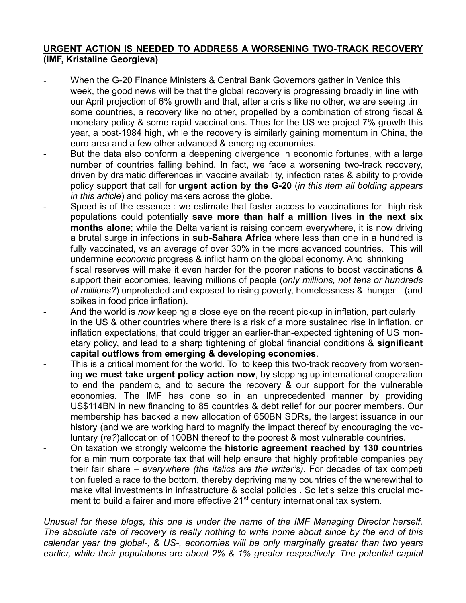### **URGENT ACTION IS NEEDED TO ADDRESS A WORSENING TWO-TRACK RECOVERY (IMF, Kristaline Georgieva)**

- When the G-20 Finance Ministers & Central Bank Governors gather in Venice this week, the good news will be that the global recovery is progressing broadly in line with our April projection of 6% growth and that, after a crisis like no other, we are seeing ,in some countries, a recovery like no other, propelled by a combination of strong fiscal & monetary policy & some rapid vaccinations. Thus for the US we project 7% growth this year, a post-1984 high, while the recovery is similarly gaining momentum in China, the euro area and a few other advanced & emerging economies.
- But the data also conform a deepening divergence in economic fortunes, with a large number of countries falling behind. In fact, we face a worsening two-track recovery, driven by dramatic differences in vaccine availability, infection rates & ability to provide policy support that call for **urgent action by the G-20** (*in this item all bolding appears in this article*) and policy makers across the globe.
- Speed is of the essence : we estimate that faster access to vaccinations for high risk populations could potentially **save more than half a million lives in the next six months alone**; while the Delta variant is raising concern everywhere, it is now driving a brutal surge in infections in **sub-Sahara Africa** where less than one in a hundred is fully vaccinated, vs an average of over 30% in the more advanced countries. This will undermine *economic* progress & inflict harm on the global economy. And shrinking fiscal reserves will make it even harder for the poorer nations to boost vaccinations & support their economies, leaving millions of people (*only millions, not tens or hundreds of millions?*) unprotected and exposed to rising poverty, homelessness & hunger (and spikes in food price inflation).
- And the world is *now* keeping a close eye on the recent pickup in inflation, particularly in the US & other countries where there is a risk of a more sustained rise in inflation, or inflation expectations, that could trigger an earlier-than-expected tightening of US monetary policy, and lead to a sharp tightening of global financial conditions & **significant capital outflows from emerging & developing economies**.
- This is a critical moment for the world. To to keep this two-track recovery from worsening **we must take urgent policy action now**, by stepping up international cooperation to end the pandemic, and to secure the recovery & our support for the vulnerable economies. The IMF has done so in an unprecedented manner by providing US\$114BN in new financing to 85 countries & debt relief for our poorer members. Our membership has backed a new allocation of 650BN SDRs, the largest issuance in our history (and we are working hard to magnify the impact thereof by encouraging the voluntary (*re?*)allocation of 100BN thereof to the poorest & most vulnerable countries.
- On taxation we strongly welcome the **historic agreement reached by 130 countries**  for a minimum corporate tax that will help ensure that highly profitable companies pay their fair share – *everywhere (the italics are the writer's).* For decades of tax competi tion fueled a race to the bottom, thereby depriving many countries of the wherewithal to make vital investments in infrastructure & social policies . So let's seize this crucial moment to build a fairer and more effective 21<sup>st</sup> century international tax system.

*Unusual for these blogs, this one is under the name of the IMF Managing Director herself. The absolute rate of recovery is really nothing to write home about since by the end of this calendar year the global-, & US-, economies will be only marginally greater than two years earlier, while their populations are about 2% & 1% greater respectively. The potential capital*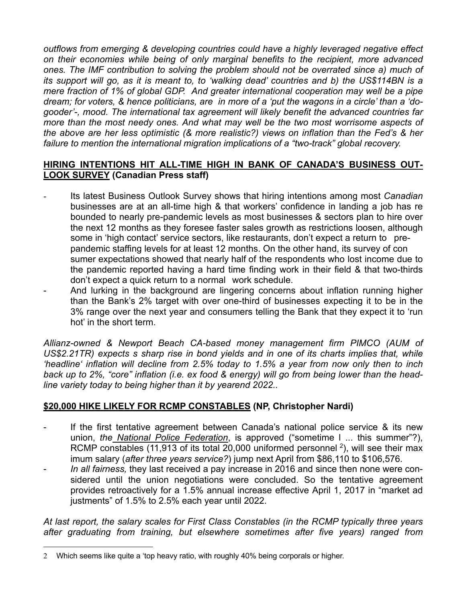*outflows from emerging & developing countries could have a highly leveraged negative effect on their economies while being of only marginal benefits to the recipient, more advanced ones. The IMF contribution to solving the problem should not be overrated since a) much of its support will go, as it is meant to, to 'walking dead' countries and b) the US\$114BN is a mere fraction of 1% of global GDP. And greater international cooperation may well be a pipe dream; for voters, & hence politicians, are in more of a 'put the wagons in a circle' than a 'dogooder'-, mood. The international tax agreement will likely benefit the advanced countries far more than the most needy ones. And what may well be the two most worrisome aspects of the above are her less optimistic (& more realistic?) views on inflation than the Fed's & her failure to mention the international migration implications of a "two-track" global recovery.*

#### **HIRING INTENTIONS HIT ALL-TIME HIGH IN BANK OF CANADA'S BUSINESS OUT-LOOK SURVEY (Canadian Press staff)**

- Its latest Business Outlook Survey shows that hiring intentions among most *Canadian*  businesses are at an all-time high & that workers' confidence in landing a job has re bounded to nearly pre-pandemic levels as most businesses & sectors plan to hire over the next 12 months as they foresee faster sales growth as restrictions loosen, although some in 'high contact' service sectors, like restaurants, don't expect a return to prepandemic staffing levels for at least 12 months. On the other hand, its survey of con sumer expectations showed that nearly half of the respondents who lost income due to the pandemic reported having a hard time finding work in their field & that two-thirds don't expect a quick return to a normal work schedule.
- And lurking in the background are lingering concerns about inflation running higher than the Bank's 2% target with over one-third of businesses expecting it to be in the 3% range over the next year and consumers telling the Bank that they expect it to 'run hot' in the short term.

*Allianz-owned & Newport Beach CA-based money management firm PIMCO (AUM of US\$2.21TR) expects s sharp rise in bond yields and in one of its charts implies that, while 'headline' inflation will decline from 2.5% today to 1.5% a year from now only then to inch back up to 2%, "core" inflation (i.e. ex food & energy) will go from being lower than the headline variety today to being higher than it by yearend 2022..*

# **\$20,000 HIKE LIKELY FOR RCMP CONSTABLES (NP, Christopher Nardi)**

- If the first tentative agreement between Canada's national police service  $\&$  its new union, *the National Police Federation*, is approved ("sometime l ... this summer"?), RCMP constables (11,913 of its total 20,000 uniformed personnel  $2$ ), will see their max imum salary (*after three years service?*) jump next April from \$86,110 to \$106,576.
- *In all fairness,* they last received a pay increase in 2016 and since then none were considered until the union negotiations were concluded. So the tentative agreement provides retroactively for a 1.5% annual increase effective April 1, 2017 in "market ad justments" of 1.5% to 2.5% each year until 2022.

*At last report, the salary scales for First Class Constables (in the RCMP typically three years after graduating from training, but elsewhere sometimes after five years) ranged from* 

<sup>2</sup> Which seems like quite a 'top heavy ratio, with roughly 40% being corporals or higher.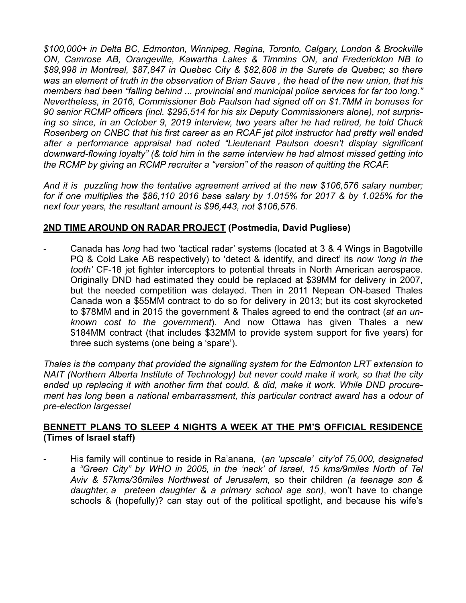*\$100,000+ in Delta BC, Edmonton, Winnipeg, Regina, Toronto, Calgary, London & Brockville ON, Camrose AB, Orangeville, Kawartha Lakes & Timmins ON, and Frederickton NB to \$89,998 in Montreal, \$87,847 in Quebec City & \$82,808 in the Surete de Quebec; so there was an element of truth in the observation of Brian Sauve , the head of the new union, that his members had been "falling behind ... provincial and municipal police services for far too long." Nevertheless, in 2016, Commissioner Bob Paulson had signed off on \$1.7MM in bonuses for 90 senior RCMP officers (incl. \$295,514 for his six Deputy Commissioners alone), not surprising so since, in an October 9, 2019 interview, two years after he had retired, he told Chuck Rosenberg on CNBC that his first career as an RCAF jet pilot instructor had pretty well ended after a performance appraisal had noted "Lieutenant Paulson doesn't display significant downward-flowing loyalty" (& told him in the same interview he had almost missed getting into the RCMP by giving an RCMP recruiter a "version" of the reason of quitting the RCAF.*

*And it is puzzling how the tentative agreement arrived at the new \$106,576 salary number; for if one multiplies the \$86,110 2016 base salary by 1.015% for 2017 & by 1.025% for the next four years, the resultant amount is \$96,443, not \$106,576.*

# **2ND TIME AROUND ON RADAR PROJECT (Postmedia, David Pugliese)**

- Canada has *long* had two 'tactical radar' systems (located at 3 & 4 Wings in Bagotville PQ & Cold Lake AB respectively) to 'detect & identify, and direct' its *now 'long in the tooth'* CF-18 jet fighter interceptors to potential threats in North American aerospace. Originally DND had estimated they could be replaced at \$39MM for delivery in 2007, but the needed competition was delayed. Then in 2011 Nepean ON-based Thales Canada won a \$55MM contract to do so for delivery in 2013; but its cost skyrocketed to \$78MM and in 2015 the government & Thales agreed to end the contract (*at an unknown cost to the government*). And now Ottawa has given Thales a new \$184MM contract (that includes \$32MM to provide system support for five years) for three such systems (one being a 'spare').

*Thales is the company that provided the signalling system for the Edmonton LRT extension to NAIT (Northern Alberta Institute of Technology) but never could make it work, so that the city ended up replacing it with another firm that could, & did, make it work. While DND procurement has long been a national embarrassment, this particular contract award has a odour of pre-election largesse!*

#### **BENNETT PLANS TO SLEEP 4 NIGHTS A WEEK AT THE PM'S OFFICIAL RESIDENCE (Times of Israel staff)**

- His family will continue to reside in Ra'anana, (*an 'upscale' city'of 75,000, designated a "Green City" by WHO in 2005, in the 'neck' of Israel, 15 kms/9miles North of Tel Aviv & 57kms/36miles Northwest of Jerusalem,* so their children *(a teenage son & daughter, a preteen daughter & a primary school age son)*, won't have to change schools & (hopefully)? can stay out of the political spotlight, and because his wife's